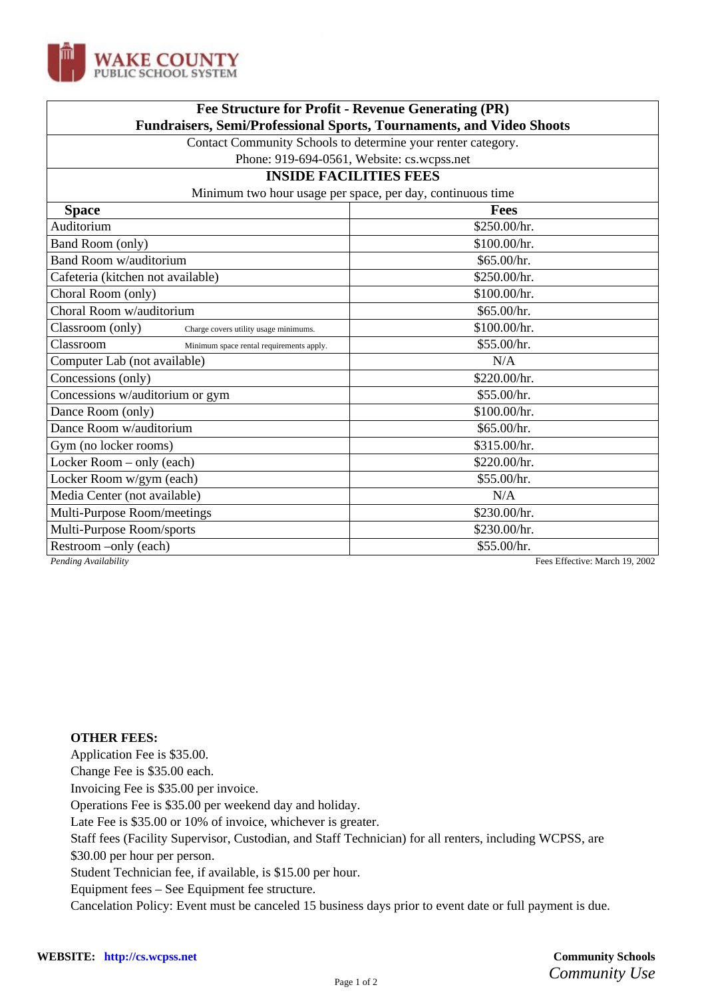

| Fee Structure for Profit - Revenue Generating (PR)<br><b>Fundraisers, Semi/Professional Sports, Tournaments, and Video Shoots</b> |  |
|-----------------------------------------------------------------------------------------------------------------------------------|--|
|                                                                                                                                   |  |
| Phone: 919-694-0561, Website: cs.wcpss.net                                                                                        |  |
| <b>INSIDE FACILITIES FEES</b>                                                                                                     |  |
| Minimum two hour usage per space, per day, continuous time<br><b>Space</b>                                                        |  |
| <b>Fees</b>                                                                                                                       |  |
| \$250.00/hr.                                                                                                                      |  |
| \$100.00/hr.                                                                                                                      |  |
| \$65.00/hr.                                                                                                                       |  |
| \$250.00/hr.                                                                                                                      |  |
| \$100.00/hr.                                                                                                                      |  |
| \$65.00/hr.                                                                                                                       |  |
| \$100.00/hr.                                                                                                                      |  |
| \$55.00/hr.                                                                                                                       |  |
| N/A                                                                                                                               |  |
| \$220.00/hr.                                                                                                                      |  |
| \$55.00/hr.                                                                                                                       |  |
| \$100.00/hr.                                                                                                                      |  |
| \$65.00/hr.                                                                                                                       |  |
| \$315.00/hr.                                                                                                                      |  |
| \$220.00/hr.                                                                                                                      |  |
| \$55.00/hr.                                                                                                                       |  |
| N/A                                                                                                                               |  |
| \$230.00/hr.                                                                                                                      |  |
| \$230.00/hr.                                                                                                                      |  |
| \$55.00/hr.                                                                                                                       |  |
|                                                                                                                                   |  |

*Pending Availability* Fees Effective: March 19, 2002

## **OTHER FEES:**

Application Fee is \$35.00.

Change Fee is \$35.00 each.

Invoicing Fee is \$35.00 per invoice.

Operations Fee is \$35.00 per weekend day and holiday.

Late Fee is \$35.00 or 10% of invoice, whichever is greater.

Staff fees (Facility Supervisor, Custodian, and Staff Technician) for all renters, including WCPSS, are

\$30.00 per hour per person.

Student Technician fee, if available, is \$15.00 per hour.

Equipment fees – See Equipment fee structure.

Cancelation Policy: Event must be canceled 15 business days prior to event date or full payment is due.